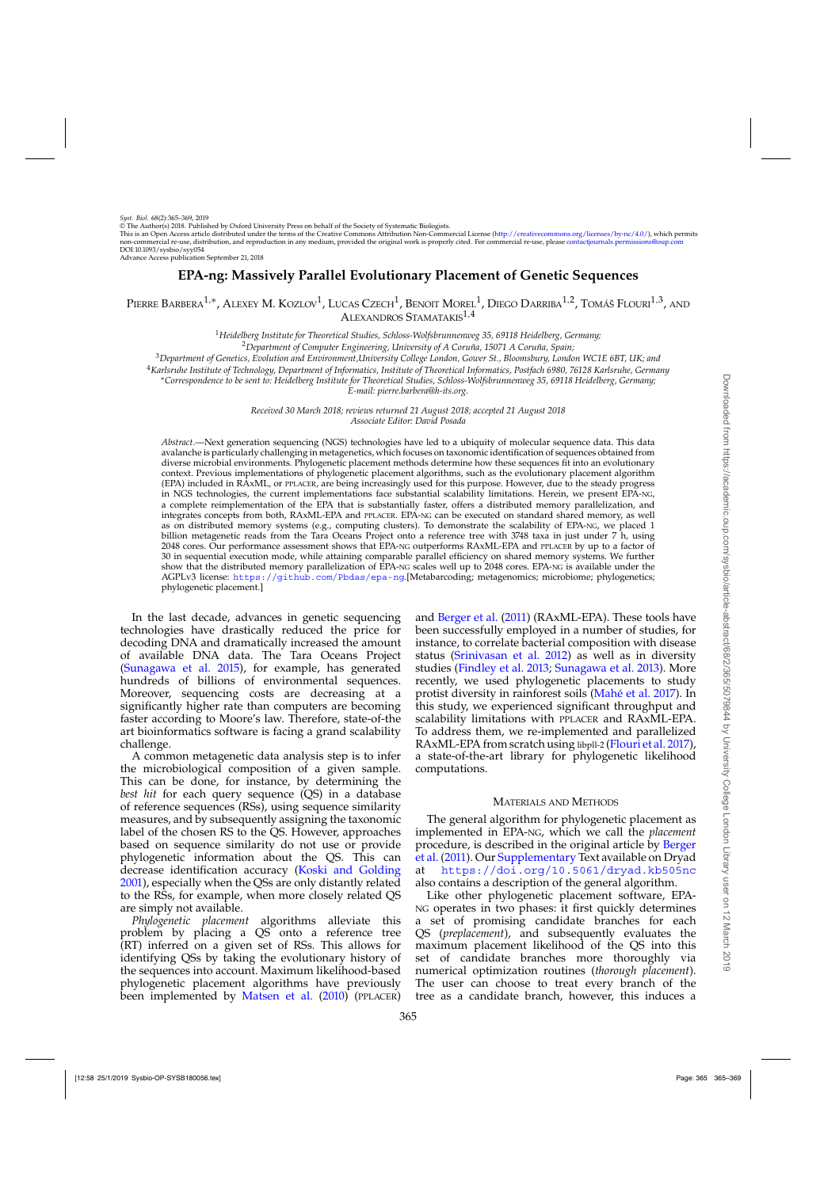© The Author(s) 2018. Published by Oxford University Press on behalf of the Society of Systematic Biologists.

This is an Open Access article distributed under the terms of the Creative Commons Attribution Non-Commercial License [\(http://creativecommons.org/licenses/by-nc/4.0/\)](http://creativecommons.org/licenses/by-nc/4.0/), which permits non-commercial re-use, distribution, and reproduction in any medium, provided the original work is properly cited. For commercial re-use, please contactiournals.permissions@oup.com DOI:10.1093/sysbio/syy054

Advance Access publication September 21, 2018

# **EPA-ng: Massively Parallel Evolutionary Placement of Genetic Sequences**

PIERRE BARBERA<sup>1,∗</sup>, ALEXEY M. KOZLOV<sup>1</sup>, LUCAS CZECH<sup>1</sup>, BENOIT MOREL<sup>1</sup>, DIEGO DARRIBA<sup>1,2</sup>, TOMÁŠ FLOURI<sup>1,3</sup>, AND ALEXANDROS STAMATAKIS<sup>1,4</sup>

> <sup>1</sup>*Heidelberg Institute for Theoretical Studies, Schloss-Wolfsbrunnenweg 35, 69118 Heidelberg, Germany;* <sup>2</sup>*Department of Computer Engineering, University of A Coruña, 15071 A Coruña, Spain;*

<sup>3</sup>*Department of Genetics, Evolution and Environment,University College London, Gower St., Bloomsbury, London WC1E 6BT, UK; and*

<sup>4</sup>*Karlsruhe Institute of Technology, Department of Informatics, Institute of Theoretical Informatics, Postfach 6980, 76128 Karlsruhe, Germany*

∗*Correspondence to be sent to: Heidelberg Institute for Theoretical Studies, Schloss-Wolfsbrunnenweg 35, 69118 Heidelberg, Germany;*

*E-mail: pierre.barbera@h-its.org.*

*Received 30 March 2018; reviews returned 21 August 2018; accepted 21 August 2018 Associate Editor: David Posada*

*Abstract*.—Next generation sequencing (NGS) technologies have led to a ubiquity of molecular sequence data. This data avalanche is particularly challenging in metagenetics, which focuses on taxonomic identification of sequences obtained from diverse microbial environments. Phylogenetic placement methods determine how these sequences fit into an evolutionary context. Previous implementations of phylogenetic placement algorithms, such as the evolutionary placement algorithm (EPA) included in RAxML, or PPLACER, are being increasingly used for this purpose. However, due to the steady progress in NGS technologies, the current implementations face substantial scalability limitations. Herein, we present EPA-NG, a complete reimplementation of the EPA that is substantially faster, offers a distributed memory parallelization, and integrates concepts from both, RAxML-EPA and PPLACER. EPA-NG can be executed on standard shared memory, as well as on distributed memory systems (e.g., computing clusters). To demonstrate the scalability of EPA-NG, we placed 1 billion metagenetic reads from the Tara Oceans Project onto a reference tree with 3748 taxa in just under 7 h, using 2048 cores. Our performance assessment shows that EPA-NG outperforms RAxML-EPA and PPLACER by up to a factor of 30 in sequential execution mode, while attaining comparable parallel efficiency on shared memory systems. We further show that the distributed memory parallelization of EPA-NG scales well up to 2048 cores. EPA-NG is available under the AGPLv3 license: <https://github.com/Pbdas/epa-ng>.[Metabarcoding; metagenomics; microbiome; phylogenetics; phylogenetic placement.]

In the last decade, advances in genetic sequencing technologies have drastically reduced the price for decoding DNA and dramatically increased the amount of available DNA data. The Tara Oceans Project [\(Sunagawa et al. 2015](#page-4-0)), for example, has generated hundreds of billions of environmental sequences. Moreover, sequencing costs are decreasing at a significantly higher rate than computers are becoming faster according to Moore's law. Therefore, state-of-the art bioinformatics software is facing a grand scalability challenge.

A common metagenetic data analysis step is to infer the microbiological composition of a given sample. This can be done, for instance, by determining the *best hit* for each query sequence (QS) in a database of reference sequences (RSs), using sequence similarity measures, and by subsequently assigning the taxonomic label of the chosen RS to the QS. However, approaches based on sequence similarity do not use or provide phylogenetic information about the QS. This can decrease identification accuracy [\(Koski and Golding](#page-4-0) [2001](#page-4-0)), especially when the QSs are only distantly related to the RSs, for example, when more closely related QS are simply not available.

*Phylogenetic placement* algorithms alleviate this problem by placing a QS onto a reference tree (RT) inferred on a given set of RSs. This allows for identifying QSs by taking the evolutionary history of the sequences into account. Maximum likelihood-based phylogenetic placement algorithms have previously been implemented by [Matsen et al.](#page-4-0) [\(2010](#page-4-0)) (PPLACER)

and [Berger et al.](#page-4-0) [\(2011\)](#page-4-0) (RAxML-EPA). These tools have been successfully employed in a number of studies, for instance, to correlate bacterial composition with disease status [\(Srinivasan et al. 2012](#page-4-0)) as well as in diversity studies [\(Findley et al. 2013](#page-4-0); [Sunagawa et al. 2013\)](#page-4-0). More recently, we used phylogenetic placements to study protist diversity in rainforest soils [\(Mahé et al. 2017](#page-4-0)). In this study, we experienced significant throughput and scalability limitations with PPLACER and RAxML-EPA. To address them, we re-implemented and parallelized RAxML-EPA from scratch using libpll-2 [\(Flouri et al. 2017](#page-4-0)), a state-of-the-art library for phylogenetic likelihood computations.

#### MATERIALS AND METHODS

The general algorithm for phylogenetic placement as implemented in EPA-NG, which we call the *placement* proc[edure, is described in the original article by](#page-4-0) Berger et al. [\(2011](#page-4-0)). Our [Supplementary](https://academic.oup.com/sysbio/article-lookup/doi/10.1093/sysbio/syy054#supplementary-data) Text available on Dryad at <https://doi.org/10.5061/dryad.kb505nc> also contains a description of the general algorithm.

Like other phylogenetic placement software, EPA-NG operates in two phases: it first quickly determines a set of promising candidate branches for each QS (*preplacement*), and subsequently evaluates the maximum placement likelihood of the QS into this set of candidate branches more thoroughly via numerical optimization routines (*thorough placement*). The user can choose to treat every branch of the tree as a candidate branch, however, this induces a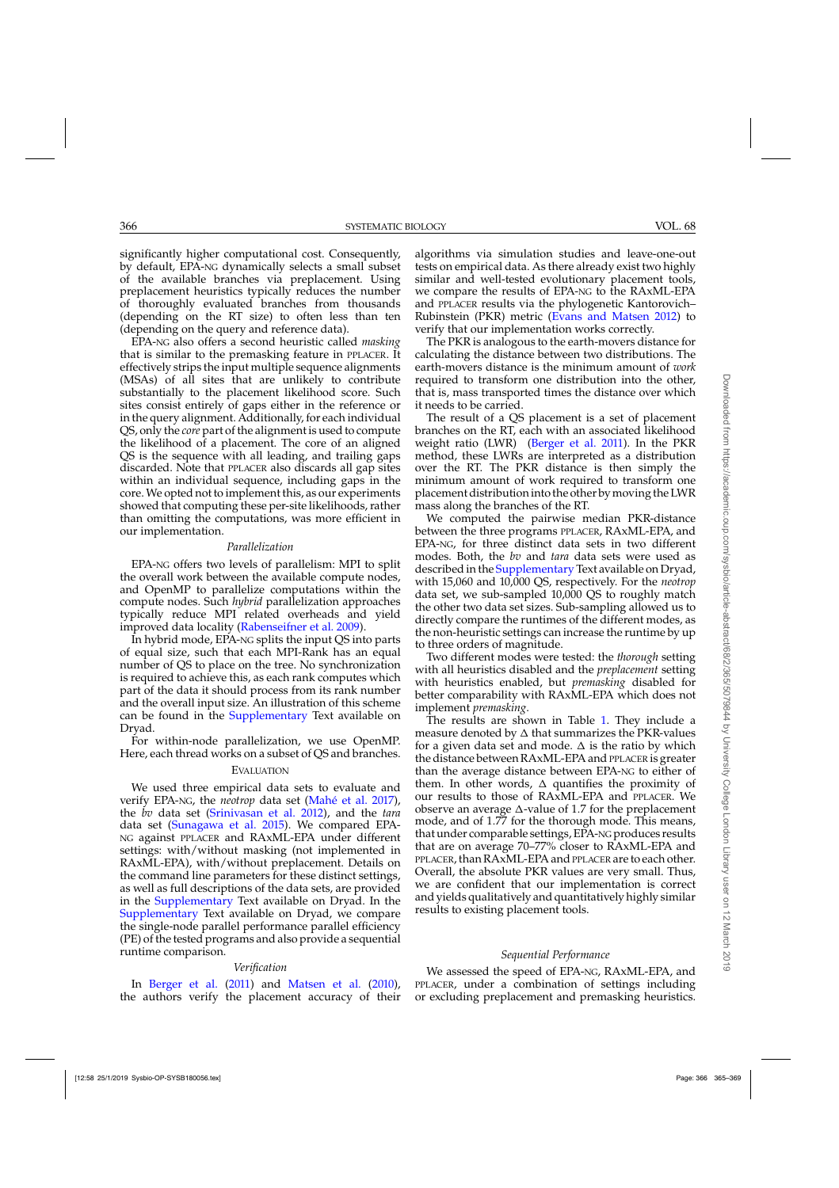significantly higher computational cost. Consequently, by default, EPA-NG dynamically selects a small subset of the available branches via preplacement. Using preplacement heuristics typically reduces the number of thoroughly evaluated branches from thousands (depending on the RT size) to often less than ten (depending on the query and reference data).

EPA-NG also offers a second heuristic called *masking* that is similar to the premasking feature in PPLACER. It effectively strips the input multiple sequence alignments (MSAs) of all sites that are unlikely to contribute substantially to the placement likelihood score. Such sites consist entirely of gaps either in the reference or in the query alignment. Additionally, for each individual QS, only the *core* part of the alignment is used to compute the likelihood of a placement. The core of an aligned QS is the sequence with all leading, and trailing gaps discarded. Note that PPLACER also discards all gap sites within an individual sequence, including gaps in the core. We opted not to implement this, as our experiments showed that computing these per-site likelihoods, rather than omitting the computations, was more efficient in our implementation.

#### *Parallelization*

EPA-NG offers two levels of parallelism: MPI to split the overall work between the available compute nodes, and OpenMP to parallelize computations within the compute nodes. Such *hybrid* parallelization approaches typically reduce MPI related overheads and yield improved data locality [\(Rabenseifner et al. 2009\)](#page-4-0).

In hybrid mode, EPA-NG splits the input QS into parts of equal size, such that each MPI-Rank has an equal number of QS to place on the tree. No synchronization is required to achieve this, as each rank computes which part of the data it should process from its rank number and the overall input size. An illustration of this scheme can be found in the [Supplementary](https://academic.oup.com/sysbio/article-lookup/doi/10.1093/sysbio/syy054#supplementary-data) Text available on Dryad.

For within-node parallelization, we use OpenMP. Here, each thread works on a subset of QS and branches.

## EVALUATION

We used three empirical data sets to evaluate and verify EPA-NG, the *neotrop* data set [\(Mahé et al. 2017](#page-4-0)), the *bv* data set [\(Srinivasan et al. 2012](#page-4-0)), and the *tara* data set [\(Sunagawa et al. 2015](#page-4-0)). We compared EPA-NG against PPLACER and RAxML-EPA under different settings: with/without masking (not implemented in RAxML-EPA), with/without preplacement. Details on the command line parameters for these distinct settings, as well as full descriptions of the data sets, are provided in the [Supplementary](https://academic.oup.com/sysbio/article-lookup/doi/10.1093/sysbio/syy054#supplementary-data) Text available on Dryad. In the [Supplementary](https://academic.oup.com/sysbio/article-lookup/doi/10.1093/sysbio/syy054#supplementary-data) Text available on Dryad, we compare the single-node parallel performance parallel efficiency (PE) of the tested programs and also provide a sequential runtime comparison.

# *Verification*

In [Berger et al.](#page-4-0) [\(2011\)](#page-4-0) and [Matsen et al.](#page-4-0) [\(2010](#page-4-0)), the authors verify the placement accuracy of their algorithms via simulation studies and leave-one-out tests on empirical data. As there already exist two highly similar and well-tested evolutionary placement tools, we compare the results of EPA-NG to the RAxML-EPA and PPLACER results via the phylogenetic Kantorovich– Rubinstein (PKR) metric [\(Evans and Matsen 2012](#page-4-0)) to verify that our implementation works correctly.

The PKR is analogous to the earth-movers distance for calculating the distance between two distributions. The earth-movers distance is the minimum amount of *work* required to transform one distribution into the other, that is, mass transported times the distance over which it needs to be carried.

The result of a QS placement is a set of placement branches on the RT, each with an associated likelihood weight ratio (LWR) [\(Berger et al. 2011\)](#page-4-0). In the PKR method, these LWRs are interpreted as a distribution over the RT. The PKR distance is then simply the minimum amount of work required to transform one placement distributioninto the other bymoving the LWR mass along the branches of the RT.

We computed the pairwise median PKR-distance between the three programs PPLACER, RAxML-EPA, and EPA-NG, for three distinct data sets in two different modes. Both, the *bv* and *tara* data sets were used as described in the [Supplementary](https://academic.oup.com/sysbio/article-lookup/doi/10.1093/sysbio/syy054#supplementary-data) Text available on Dryad, with 15,060 and 10,000 QS, respectively. For the *neotrop* data set, we sub-sampled 10,000 QS to roughly match the other two data set sizes. Sub-sampling allowed us to directly compare the runtimes of the different modes, as the non-heuristic settings can increase the runtime by up to three orders of magnitude.

Two different modes were tested: the *thorough* setting with all heuristics disabled and the *preplacement* setting with heuristics enabled, but *premasking* disabled for better comparability with RAxML-EPA which does not implement *premasking*.

The results are shown in Table [1.](#page-2-0) They include a measure denoted by  $\Delta$  that summarizes the PKR-values for a given data set and mode.  $\Delta$  is the ratio by which the distance between RAxML-EPA and PPLACER is greater than the average distance between EPA-NG to either of them. In other words,  $\Delta$  quantifies the proximity of our results to those of RAxML-EPA and PPLACER. We observe an average  $\Delta$ -value of 1.7 for the preplacement mode, and of 1.77 for the thorough mode. This means, that under comparable settings, EPA-NG produces results that are on average 70–77% closer to RAxML-EPA and PPLACER, than RAxML-EPA and PPLACER are to each other. Overall, the absolute PKR values are very small. Thus, we are confident that our implementation is correct and yields qualitatively and quantitatively highly similar results to existing placement tools.

#### *Sequential Performance*

We assessed the speed of EPA-NG, RAxML-EPA, and PPLACER, under a combination of settings including or excluding preplacement and premasking heuristics.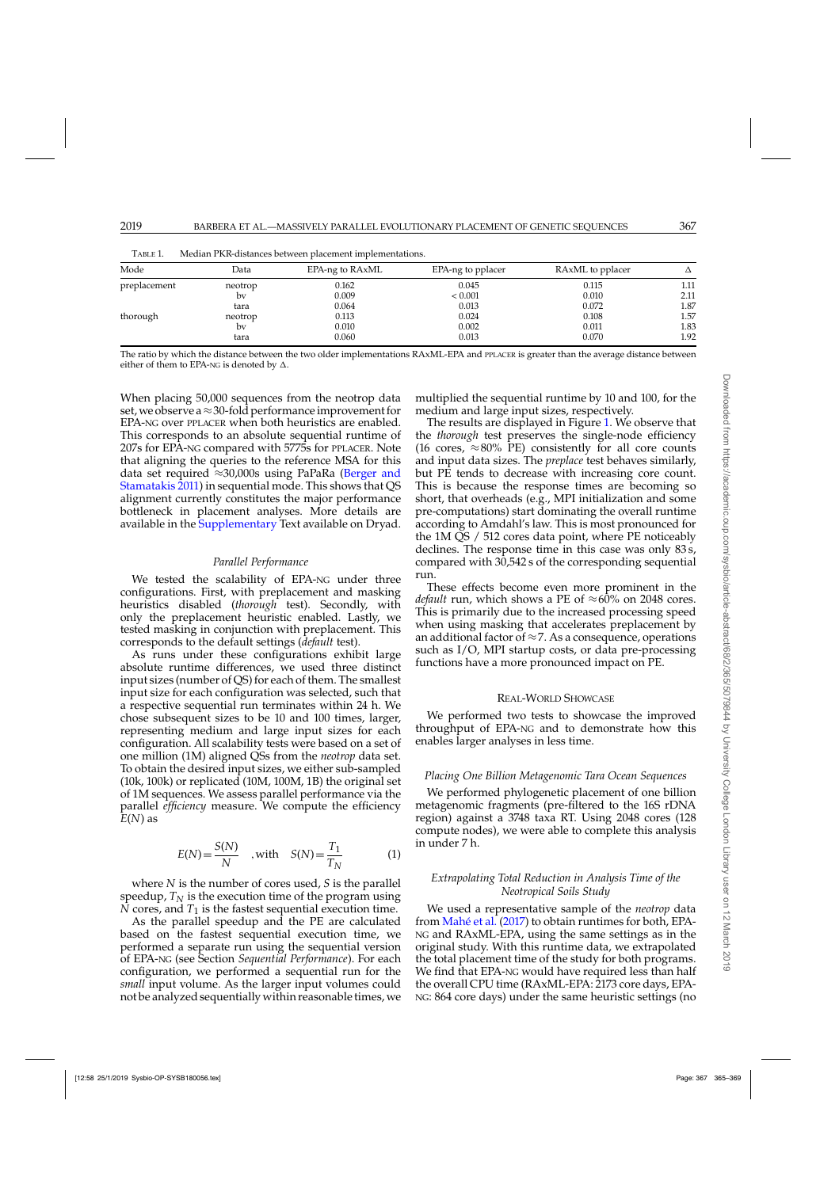| Mode         | Data    | EPA-ng to RAxML | EPA-ng to pplacer | RAxML to pplacer | Δ    |
|--------------|---------|-----------------|-------------------|------------------|------|
| preplacement | neotrop | 0.162           | 0.045             | 0.115            | 1.11 |
|              | bv      | 0.009           | < 0.001           | 0.010            | 2.11 |
|              | tara    | 0.064           | 0.013             | 0.072            | 1.87 |
| thorough     | neotrop | 0.113           | 0.024             | 0.108            | 1.57 |
|              | bv      | 0.010           | 0.002             | 0.011            | 1.83 |
|              | tara    | 0.060           | 0.013             | 0.070            | 1.92 |

<span id="page-2-0"></span>TABLE 1. Median PKR-distances between placement implementations.

The ratio by which the distance between the two older implementations RAxML-EPA and PPLACER is greater than the average distance between either of them to EPA-NG is denoted by  $\Delta.$ 

When placing 50,000 sequences from the neotrop data set, we observe a  $\approx$  30-fold performance improvement for EPA-NG over PPLACER when both heuristics are enabled. This corresponds to an absolute sequential runtime of 207s for EPA-NG compared with 5775s for PPLACER. Note that aligning the queries to the reference MSA for this data set required ≈[30,000s using PaPaRa \(](#page-4-0)Berger and Stamatakis [2011\)](#page-4-0) in sequential mode. This shows that QS alignment currently constitutes the major performance bottleneck in placement analyses. More details are available in the [Supplementary](https://academic.oup.com/sysbio/article-lookup/doi/10.1093/sysbio/syy054#supplementary-data) Text available on Dryad.

## *Parallel Performance*

We tested the scalability of EPA-NG under three configurations. First, with preplacement and masking heuristics disabled (*thorough* test). Secondly, with only the preplacement heuristic enabled. Lastly, we tested masking in conjunction with preplacement. This corresponds to the default settings (*default* test).

As runs under these configurations exhibit large absolute runtime differences, we used three distinct input sizes (number of QS) for each of them. The smallest input size for each configuration was selected, such that a respective sequential run terminates within 24 h. We chose subsequent sizes to be 10 and 100 times, larger, representing medium and large input sizes for each configuration. All scalability tests were based on a set of one million (1M) aligned QSs from the *neotrop* data set. To obtain the desired input sizes, we either sub-sampled (10k, 100k) or replicated (10M, 100M, 1B) the original set of 1M sequences. We assess parallel performance via the parallel *efficiency* measure. We compute the efficiency *E*(*N*) as

$$
E(N) = \frac{S(N)}{N} \quad \text{, with} \quad S(N) = \frac{T_1}{T_N} \tag{1}
$$

where *N* is the number of cores used, *S* is the parallel speedup,  $T_N$  is the execution time of the program using *N* cores, and  $T_1$  is the fastest sequential execution time.

As the parallel speedup and the PE are calculated based on the fastest sequential execution time, we performed a separate run using the sequential version of EPA-NG (see Section *Sequential Performance*). For each configuration, we performed a sequential run for the *small* input volume. As the larger input volumes could not be analyzed sequentially within reasonable times, we

multiplied the sequential runtime by 10 and 100, for the medium and large input sizes, respectively.

The results are displayed in Figure [1.](#page-3-0) We observe that the *thorough* test preserves the single-node efficiency (16 cores,  $\approx 80\%$  PE) consistently for all core counts and input data sizes. The *preplace* test behaves similarly, but PE tends to decrease with increasing core count. This is because the response times are becoming so short, that overheads (e.g., MPI initialization and some pre-computations) start dominating the overall runtime according to Amdahl's law. This is most pronounced for the 1M QS / 512 cores data point, where PE noticeably declines. The response time in this case was only 83 s, compared with 30,542 s of the corresponding sequential run.

These effects become even more prominent in the *default* run, which shows a PE of  $\approx 60\%$  on 2048 cores. This is primarily due to the increased processing speed when using masking that accelerates preplacement by an additional factor of  $\approx$  7. As a consequence, operations such as I/O, MPI startup costs, or data pre-processing functions have a more pronounced impact on PE.

#### REAL-WORLD SHOWCASE

We performed two tests to showcase the improved throughput of EPA-NG and to demonstrate how this enables larger analyses in less time.

#### *Placing One Billion Metagenomic Tara Ocean Sequences*

We performed phylogenetic placement of one billion metagenomic fragments (pre-filtered to the 16S rDNA region) against a 3748 taxa RT. Using 2048 cores (128 compute nodes), we were able to complete this analysis in under 7 h.

# *Extrapolating Total Reduction in Analysis Time of the Neotropical Soils Study*

We used a representative sample of the *neotrop* data from [Mahé et al.](#page-4-0) [\(2017](#page-4-0)) to obtain runtimes for both, EPA-NG and RAxML-EPA, using the same settings as in the original study. With this runtime data, we extrapolated the total placement time of the study for both programs. We find that EPA-NG would have required less than half the overall CPU time (RAxML-EPA: 2173 core days, EPA-NG: 864 core days) under the same heuristic settings (no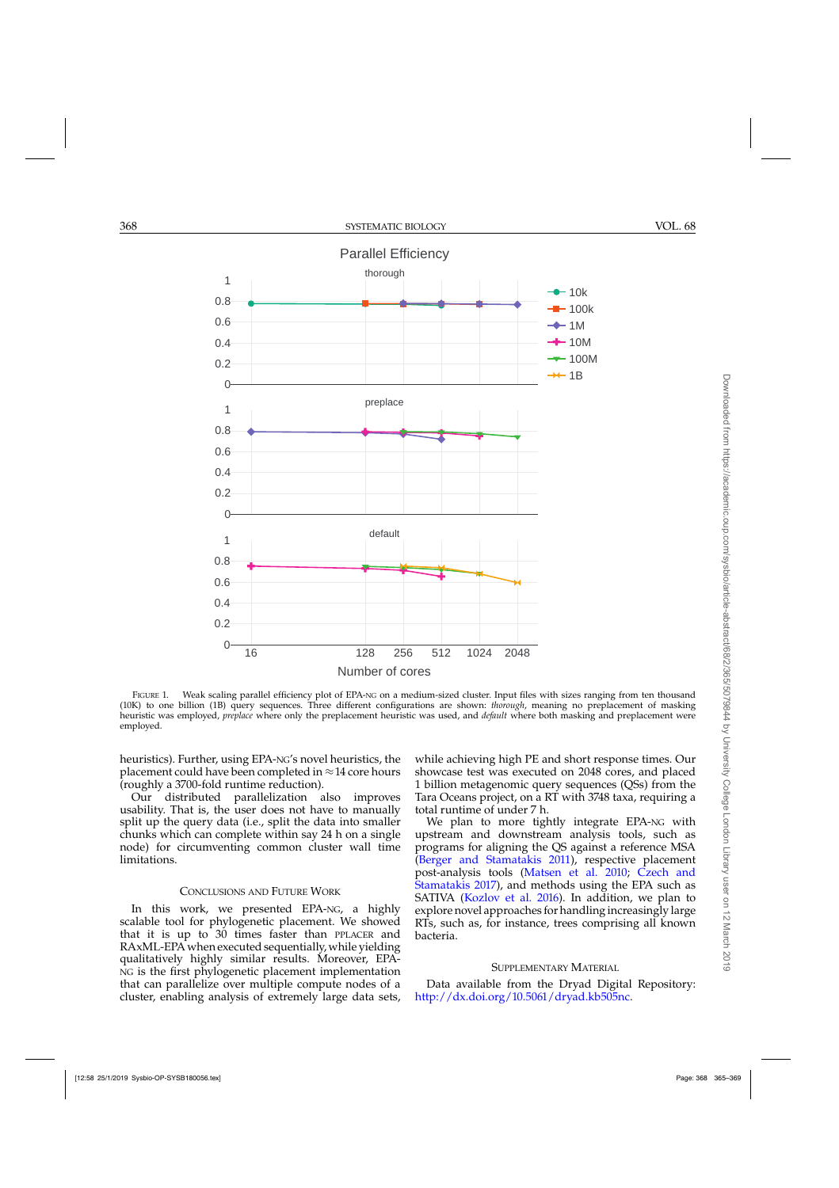<span id="page-3-0"></span>

FIGURE 1. Weak scaling parallel efficiency plot of EPA-NG on a medium-sized cluster. Input files with sizes ranging from ten thousand (10K) to one billion (1B) query sequences. Three different configurations are shown: *thorough*, meaning no preplacement of masking heuristic was employed, *preplace* where only the preplacement heuristic was used, and *default* where both masking and preplacement were employed.

heuristics). Further, using EPA-NG's novel heuristics, the placement could have been completed in  $\approx$  14 core hours (roughly a 3700-fold runtime reduction).

Our distributed parallelization also improves usability. That is, the user does not have to manually split up the query data (i.e., split the data into smaller chunks which can complete within say 24 h on a single node) for circumventing common cluster wall time limitations.

# CONCLUSIONS AND FUTURE WORK

In this work, we presented EPA-NG, a highly scalable tool for phylogenetic placement. We showed that it is up to 30 times faster than PPLACER and RAxML-EPA when executed sequentially, while yielding qualitatively highly similar results. Moreover, EPA-NG is the first phylogenetic placement implementation that can parallelize over multiple compute nodes of a cluster, enabling analysis of extremely large data sets, while achieving high PE and short response times. Our showcase test was executed on 2048 cores, and placed 1 billion metagenomic query sequences (QSs) from the Tara Oceans project, on a RT with 3748 taxa, requiring a total runtime of under 7 h.

We plan to more tightly integrate EPA-NG with upstream and downstream analysis tools, such as programs for aligning the QS against a reference MSA [\(Berger and Stamatakis 2011\)](#page-4-0), respective placement post-analy[sis tools \(Matsen et al. 2010;](#page-4-0) Czech and Stamatakis [2017](#page-4-0)), and methods using the EPA such as SATIVA [\(Kozlov et al. 2016\)](#page-4-0). In addition, we plan to explore novel approaches for handling increasingly large RTs, such as, for instance, trees comprising all known bacteria.

# SUPPLEMENTARY MATERIAL

Data available from the Dryad Digital Repository: [http://dx.doi.org/10.5061/dryad.kb505nc.](http://dx.doi.org/10.5061/dryad.kb505nc)